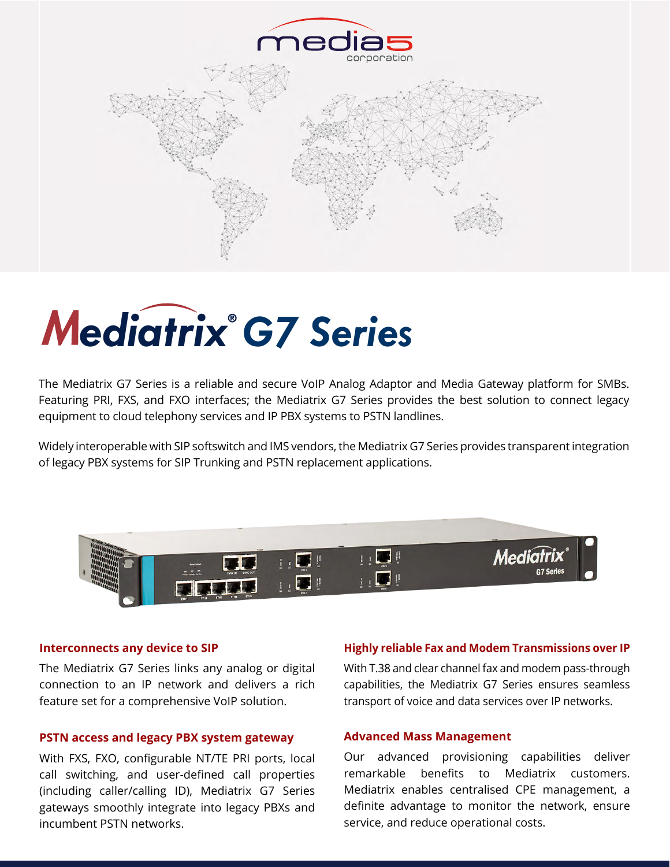

# ediatrix<sup>®</sup> G7 Series

The Mediatrix G7 Series is a reliable and secure VoIP Analog Adaptor and Media Gateway platform for SMBs. Featuring PRI, FXS, and FXO interfaces; the Mediatrix G7 Series provides the best solution to connect legacy equipment to cloud telephony services and IP PBX systems to PSTN landlines. ediatrix G7 Series is a reliabl<br>ng PRI, FXS, and FXO interfa<br>nent to cloud telephony servid<br><mark>nent to cloud telephony servi</mark>d

Widely interoperable with SIP softswitch and IMS vendors, the Mediatrix G7 Series provides transparent integration of legacy PBX systems for SIP Trunking and PSTN replacement applications.



#### **Interconnects any device to SIP**

The Mediatrix G7 Series links any analog or digital connection to an IP network and delivers a rich feature set for a comprehensive VoIP solution.

#### **PSTN access and legacy PBX system gateway**

With FXS, FXO, configurable NT/TE PRI ports, local call switching, and user-defined call properties (including caller/calling ID), Mediatrix G7 Series gateways smoothly integrate into legacy PBXs and incumbent PSTN networks.

#### **Highly reliable Fax and Modem Transmissions over IP**

With T.38 and clear channel fax and modem pass-through capabilities, the Mediatrix G7 Series ensures seamless transport of voice and data services over IP networks.

#### **Advanced Mass Management**

Our advanced provisioning capabilities deliver remarkable benefits to Mediatrix customers. Mediatrix enables centralised CPE management, a definite advantage to monitor the network, ensure service, and reduce operational costs.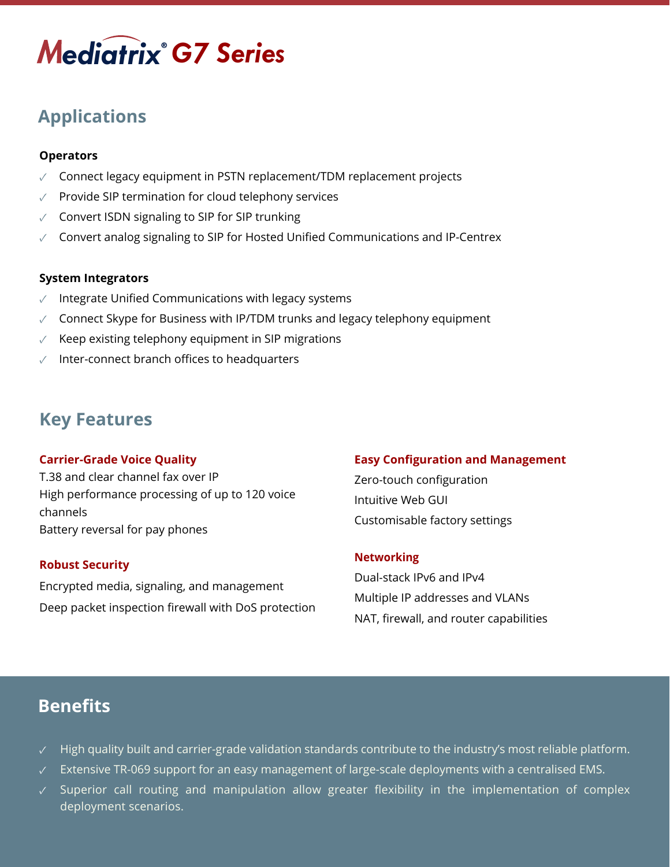## *ediatrix G7 Series*

## **Applications** *ediatrix*

#### **Operators**

- ✓ Connect legacy equipment in PSTN replacement/TDM replacement projects
- ✓ Provide SIP termination for cloud telephony services
- ✓ Convert ISDN signaling to SIP for SIP trunking
- $\sqrt{2}$  Convert analog signaling to SIP for Hosted Unified Communications and IP-Centrex

#### **System Integrators**

- $\sqrt{ }$  Integrate Unified Communications with legacy systems
- ✓ Connect Skype for Business with IP/TDM trunks and legacy telephony equipment
- Keep existing telephony equipment in SIP migrations
- Inter-connect branch offices to headquarters

## **Key Features**

#### **Carrier-Grade Voice Quality**

T.38 and clear channel fax over IP High performance processing of up to 120 voice channels Battery reversal for pay phones

#### **Robust Security**

Encrypted media, signaling, and management Deep packet inspection firewall with DoS protection

#### **Easy Configuration and Management**

Zero-touch configuration Intuitive Web GUI Customisable factory settings

#### **Networking**

Dual-stack IPv6 and IPv4 Multiple IP addresses and VLANs NAT, firewall, and router capabilities

## **Benefits**

- ✓ High quality built and carrier-grade validation standards contribute to the industry's most reliable platform.
- $\sqrt{2}$  Extensive TR-069 support for an easy management of large-scale deployments with a centralised EMS.
- ✓ Superior call routing and manipulation allow greater flexibility in the implementation of complex deployment scenarios.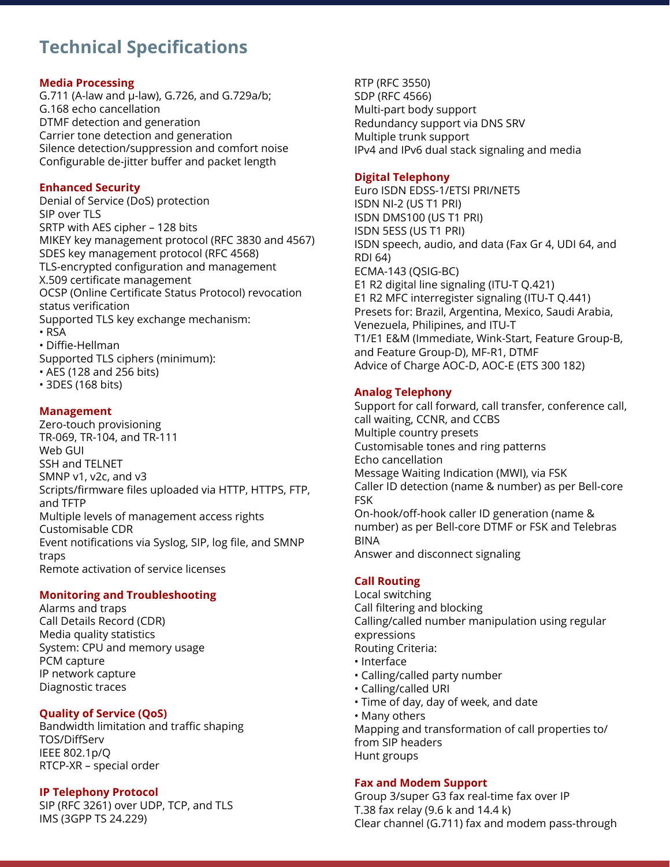## **Technical Specifications**

#### **Media Processing**

G.711 (A-law and µ-law), G.726, and G.729a/b; G.168 echo cancellation DTMF detection and generation Carrier tone detection and generation Silence detection/suppression and comfort noise Configurable de-jitter buffer and packet length

#### **Enhanced Security**

Denial of Service (DoS) protection SIP over TLS SRTP with AES cipher – 128 bits MIKEY key management protocol (RFC 3830 and 4567) SDES key management protocol (RFC 4568) TLS-encrypted configuration and management X.509 certificate management OCSP (Online Certificate Status Protocol) revocation status verification Supported TLS key exchange mechanism: • RSA • Diffie-Hellman Supported TLS ciphers (minimum):

- AES (128 and 256 bits)
- 3DES (168 bits)

#### **Management**

Zero-touch provisioning TR-069, TR-104, and TR-111 Web GUI SSH and TELNET SMNP v1, v2c, and v3 Scripts/firmware files uploaded via HTTP, HTTPS, FTP, and TFTP Multiple levels of management access rights Customisable CDR Event notifications via Syslog, SIP, log file, and SMNP traps Remote activation of service licenses

#### **Monitoring and Troubleshooting**

Alarms and traps Call Details Record (CDR) Media quality statistics System: CPU and memory usage PCM capture IP network capture Diagnostic traces

#### **Quality of Service (QoS)**

Bandwidth limitation and traffic shaping TOS/DiffServ IEEE 802.1p/Q RTCP-XR – special order

#### **IP Telephony Protocol**

SIP (RFC 3261) over UDP, TCP, and TLS IMS (3GPP TS 24.229)

RTP (RFC 3550) SDP (RFC 4566) Multi-part body support Redundancy support via DNS SRV Multiple trunk support IPv4 and IPv6 dual stack signaling and media

#### **Digital Telephony**

Euro ISDN EDSS-1/ETSI PRI/NET5 ISDN NI-2 (US T1 PRI) ISDN DMS100 (US T1 PRI) ISDN 5ESS (US T1 PRI) ISDN speech, audio, and data (Fax Gr 4, UDI 64, and RDI 64) ECMA-143 (QSIG-BC) E1 R2 digital line signaling (ITU-T Q.421) E1 R2 MFC interregister signaling (ITU-T Q.441) Presets for: Brazil, Argentina, Mexico, Saudi Arabia, Venezuela, Philipines, and ITU-T T1/E1 E&M (Immediate, Wink-Start, Feature Group-B, and Feature Group-D), MF-R1, DTMF Advice of Charge AOC-D, AOC-E (ETS 300 182)

#### **Analog Telephony**

Support for call forward, call transfer, conference call, call waiting, CCNR, and CCBS Multiple country presets Customisable tones and ring patterns Echo cancellation Message Waiting Indication (MWI), via FSK Caller ID detection (name & number) as per Bell-core FSK On-hook/off-hook caller ID generation (name & number) as per Bell-core DTMF or FSK and Telebras BINA Answer and disconnect signaling

#### **Call Routing**

Local switching Call filtering and blocking Calling/called number manipulation using regular expressions Routing Criteria: • Interface

- Calling/called party number
- Calling/called URI
- Time of day, day of week, and date
- Many others

Mapping and transformation of call properties to/ from SIP headers Hunt groups

#### **Fax and Modem Support**

Group 3/super G3 fax real-time fax over IP T.38 fax relay (9.6 k and 14.4 k) Clear channel (G.711) fax and modem pass-through